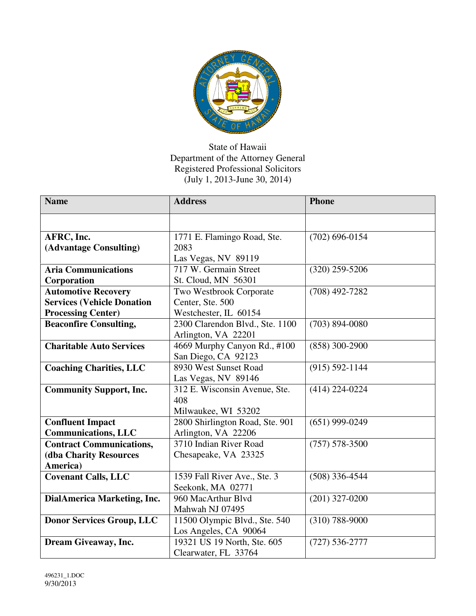

## State of Hawaii Department of the Attorney General Registered Professional Solicitors (July 1, 2013-June 30, 2014)

| <b>Name</b>                       | <b>Address</b>                  | <b>Phone</b>       |
|-----------------------------------|---------------------------------|--------------------|
|                                   |                                 |                    |
| AFRC, Inc.                        | 1771 E. Flamingo Road, Ste.     | $(702)$ 696-0154   |
| (Advantage Consulting)            | 2083                            |                    |
|                                   | Las Vegas, NV 89119             |                    |
| <b>Aria Communications</b>        | 717 W. Germain Street           | $(320)$ 259-5206   |
| Corporation                       | St. Cloud, MN 56301             |                    |
| <b>Automotive Recovery</b>        | Two Westbrook Corporate         | $(708)$ 492-7282   |
| <b>Services (Vehicle Donation</b> | Center, Ste. 500                |                    |
| <b>Processing Center)</b>         | Westchester, IL 60154           |                    |
| <b>Beaconfire Consulting,</b>     | 2300 Clarendon Blvd., Ste. 1100 | $(703) 894 - 0080$ |
|                                   | Arlington, VA 22201             |                    |
| <b>Charitable Auto Services</b>   | 4669 Murphy Canyon Rd., #100    | $(858)$ 300-2900   |
|                                   | San Diego, CA 92123             |                    |
| <b>Coaching Charities, LLC</b>    | 8930 West Sunset Road           | $(915) 592 - 1144$ |
|                                   | Las Vegas, NV 89146             |                    |
| <b>Community Support, Inc.</b>    | 312 E. Wisconsin Avenue, Ste.   | $(414)$ 224-0224   |
|                                   | 408                             |                    |
|                                   | Milwaukee, WI 53202             |                    |
| <b>Confluent Impact</b>           | 2800 Shirlington Road, Ste. 901 | $(651)$ 999-0249   |
| <b>Communications, LLC</b>        | Arlington, VA 22206             |                    |
| <b>Contract Communications,</b>   | 3710 Indian River Road          | $(757) 578 - 3500$ |
| <b>(dba Charity Resources</b>     | Chesapeake, VA 23325            |                    |
| America)                          |                                 |                    |
| <b>Covenant Calls, LLC</b>        | 1539 Fall River Ave., Ste. 3    | $(508)$ 336-4544   |
|                                   | Seekonk, MA 02771               |                    |
| DialAmerica Marketing, Inc.       | 960 MacArthur Blvd              | $(201)$ 327-0200   |
|                                   | Mahwah NJ 07495                 |                    |
| <b>Donor Services Group, LLC</b>  | 11500 Olympic Blvd., Ste. 540   | $(310) 788 - 9000$ |
|                                   | Los Angeles, CA 90064           |                    |
| Dream Giveaway, Inc.              | 19321 US 19 North, Ste. 605     | $(727) 536 - 2777$ |
|                                   | Clearwater, FL 33764            |                    |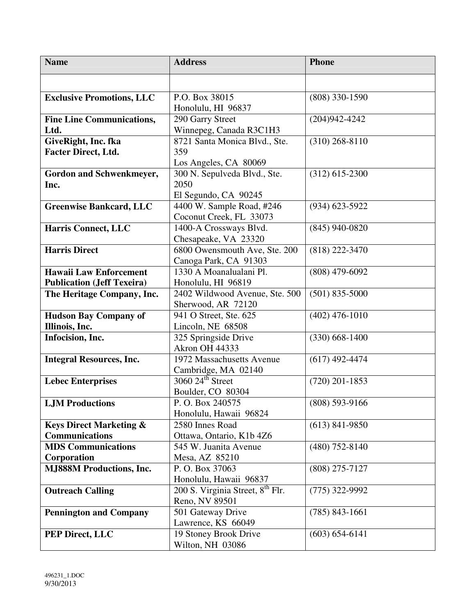| <b>Name</b>                        | <b>Address</b>                                       | <b>Phone</b>       |
|------------------------------------|------------------------------------------------------|--------------------|
|                                    |                                                      |                    |
| <b>Exclusive Promotions, LLC</b>   | P.O. Box 38015                                       | $(808)$ 330-1590   |
|                                    | Honolulu, HI 96837                                   |                    |
| <b>Fine Line Communications,</b>   | 290 Garry Street                                     | $(204)942 - 4242$  |
| Ltd.                               | Winnepeg, Canada R3C1H3                              |                    |
| GiveRight, Inc. fka                | 8721 Santa Monica Blvd., Ste.                        | $(310)$ 268-8110   |
| <b>Facter Direct, Ltd.</b>         | 359                                                  |                    |
|                                    | Los Angeles, CA 80069                                |                    |
| Gordon and Schwenkmeyer,           | 300 N. Sepulveda Blvd., Ste.                         | $(312)$ 615-2300   |
| Inc.                               | 2050                                                 |                    |
|                                    | El Segundo, CA 90245                                 |                    |
| <b>Greenwise Bankcard, LLC</b>     | 4400 W. Sample Road, #246                            | $(934) 623 - 5922$ |
|                                    | Coconut Creek, FL 33073                              |                    |
| <b>Harris Connect, LLC</b>         | 1400-A Crossways Blvd.                               | $(845)$ 940-0820   |
|                                    | Chesapeake, VA 23320                                 |                    |
| <b>Harris Direct</b>               | 6800 Owensmouth Ave, Ste. 200                        | $(818)$ 222-3470   |
|                                    | Canoga Park, CA 91303                                |                    |
| <b>Hawaii Law Enforcement</b>      | 1330 A Moanalualani Pl.                              | $(808)$ 479-6092   |
| <b>Publication (Jeff Texeira)</b>  | Honolulu, HI 96819                                   |                    |
| The Heritage Company, Inc.         | 2402 Wildwood Avenue, Ste. 500<br>Sherwood, AR 72120 | $(501)$ 835-5000   |
| <b>Hudson Bay Company of</b>       | 941 O Street, Ste. 625                               | $(402)$ 476-1010   |
| Illinois, Inc.                     | Lincoln, NE 68508                                    |                    |
| Infocision, Inc.                   | 325 Springside Drive                                 | $(330)$ 668-1400   |
|                                    | Akron OH 44333                                       |                    |
| <b>Integral Resources, Inc.</b>    | 1972 Massachusetts Avenue                            | $(617)$ 492-4474   |
|                                    | Cambridge, MA 02140                                  |                    |
| <b>Lebec Enterprises</b>           | $3060$ $24^{\text{th}}$ Street                       | $(720)$ 201-1853   |
|                                    | Boulder, CO 80304                                    |                    |
| <b>LJM</b> Productions             | P.O. Box 240575                                      | $(808)$ 593-9166   |
|                                    | Honolulu, Hawaii 96824                               |                    |
| <b>Keys Direct Marketing &amp;</b> | 2580 Innes Road                                      | $(613)$ 841-9850   |
| <b>Communications</b>              | Ottawa, Ontario, K1b 4Z6                             |                    |
| <b>MDS Communications</b>          | 545 W. Juanita Avenue                                | $(480)$ 752-8140   |
| Corporation                        | Mesa, AZ 85210                                       |                    |
| <b>MJ888M Productions, Inc.</b>    | P.O. Box 37063                                       | $(808)$ 275-7127   |
|                                    |                                                      |                    |
| <b>Outreach Calling</b>            | Honolulu, Hawaii 96837                               |                    |
| <b>Pennington and Company</b>      | 200 S. Virginia Street, 8 <sup>th</sup> Flr.         | $(775)$ 322-9992   |
|                                    | Reno, NV 89501                                       |                    |
|                                    | 501 Gateway Drive                                    | $(785)$ 843-1661   |
| PEP Direct, LLC                    | Lawrence, KS 66049<br>19 Stoney Brook Drive          | $(603) 654 - 6141$ |